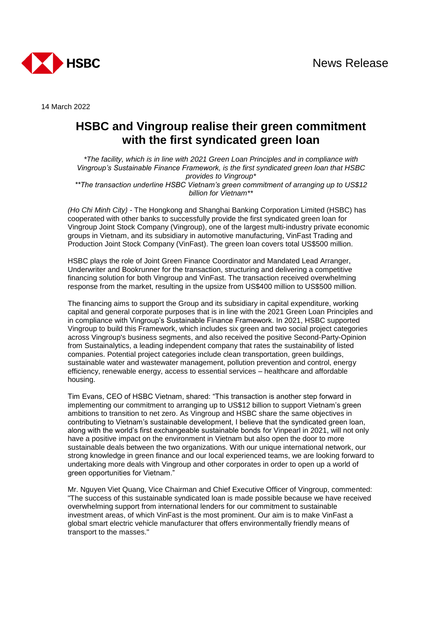

14 March 2022

## **HSBC and Vingroup realise their green commitment with the first syndicated green loan**

*\*The facility, which is in line with 2021 Green Loan Principles and in compliance with Vingroup's Sustainable Finance Framework, is the first syndicated green loan that HSBC provides to Vingroup\* \*\*The transaction underline HSBC Vietnam's green commitment of arranging up to US\$12 billion for Vietnam\*\**

*(Ho Chi Minh City) -* The Hongkong and Shanghai Banking Corporation Limited (HSBC) has cooperated with other banks to successfully provide the first syndicated green loan for Vingroup Joint Stock Company (Vingroup), one of the largest multi-industry private economic groups in Vietnam, and its subsidiary in automotive manufacturing, VinFast Trading and Production Joint Stock Company (VinFast). The green loan covers total US\$500 million.

HSBC plays the role of Joint Green Finance Coordinator and Mandated Lead Arranger, Underwriter and Bookrunner for the transaction, structuring and delivering a competitive financing solution for both Vingroup and VinFast. The transaction received overwhelming response from the market, resulting in the upsize from US\$400 million to US\$500 million.

The financing aims to support the Group and its subsidiary in capital expenditure, working capital and general corporate purposes that is in line with the 2021 Green Loan Principles and in compliance with Vingroup's Sustainable Finance Framework. In 2021, HSBC supported Vingroup to build this Framework, which includes six green and two social project categories across Vingroup's business segments, and also received the positive Second-Party-Opinion from Sustainalytics, a leading independent company that rates the sustainability of listed companies. Potential project categories include clean transportation, green buildings, sustainable water and wastewater management, pollution prevention and control, energy efficiency, renewable energy, access to essential services – healthcare and affordable housing.

Tim Evans, CEO of HSBC Vietnam, shared: "This transaction is another step forward in implementing our commitment to arranging up to US\$12 billion to support Vietnam's green ambitions to transition to net zero. As Vingroup and HSBC share the same objectives in contributing to Vietnam's sustainable development, I believe that the syndicated green loan, along with the world's first exchangeable sustainable bonds for Vinpearl in 2021, will not only have a positive impact on the environment in Vietnam but also open the door to more sustainable deals between the two organizations. With our unique international network, our strong knowledge in green finance and our local experienced teams, we are looking forward to undertaking more deals with Vingroup and other corporates in order to open up a world of green opportunities for Vietnam."

Mr. Nguyen Viet Quang, Vice Chairman and Chief Executive Officer of Vingroup, commented: "The success of this sustainable syndicated loan is made possible because we have received overwhelming support from international lenders for our commitment to sustainable investment areas, of which VinFast is the most prominent. Our aim is to make VinFast a global smart electric vehicle manufacturer that offers environmentally friendly means of transport to the masses."